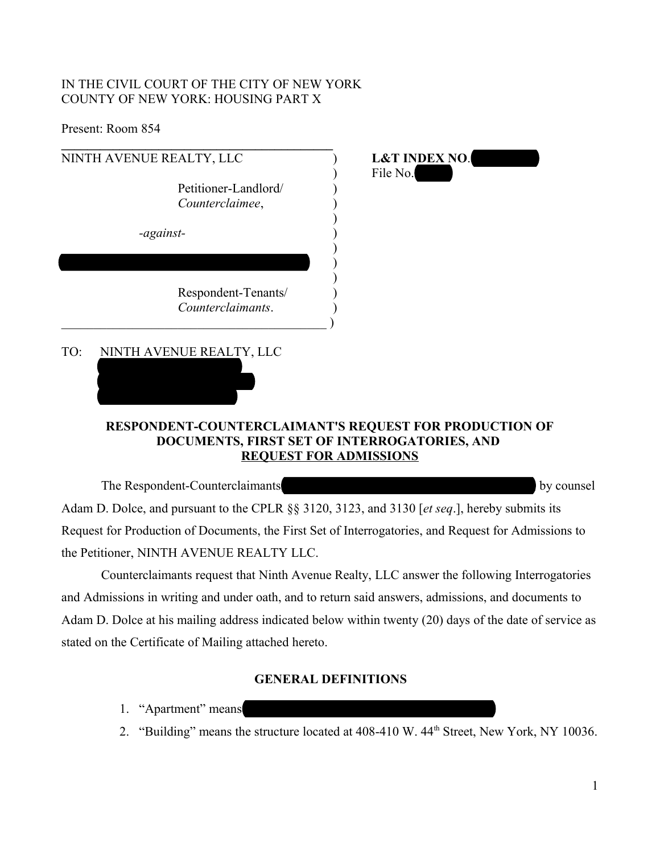## IN THE CIVIL COURT OF THE CITY OF NEW YORK COUNTY OF NEW YORK: HOUSING PART X

Present: Room 854

| NINTH AVENUE REALTY, LLC                                                                             | <b>L&amp;T INDEX NO.</b>                                                      |
|------------------------------------------------------------------------------------------------------|-------------------------------------------------------------------------------|
| Petitioner-Landlord/<br>Counterclaimee,                                                              | File No.                                                                      |
| -against-                                                                                            |                                                                               |
|                                                                                                      |                                                                               |
| Respondent-Tenants/<br>Counterclaimants.                                                             |                                                                               |
| TO:<br>NINTH AVENUE REALTY, LLC                                                                      | RESPONDENT-COUNTERCLAIMANT'S REQUEST FOR PRODUCTION OF                        |
|                                                                                                      | DOCUMENTS, FIRST SET OF INTERROGATORIES, AND<br><b>REQUEST FOR ADMISSIONS</b> |
| The Respondent-Counterclaimants                                                                      | by counsel                                                                    |
| Adam D. Dolce, and pursuant to the CPLR §§ 3120, 3123, and 3130 [et seq.], hereby submits its        |                                                                               |
| Request for Production of Documents, the First Set of Interrogatories, and Request for Admissions to |                                                                               |
| the Petitioner, NINTH AVENUE REALTY LLC.                                                             |                                                                               |

Counterclaimants request that Ninth Avenue Realty, LLC answer the following Interrogatories and Admissions in writing and under oath, and to return said answers, admissions, and documents to Adam D. Dolce at his mailing address indicated below within twenty (20) days of the date of service as stated on the Certificate of Mailing attached hereto.

# **GENERAL DEFINITIONS**

- 1. "Apartment" means
- 2. "Building" means the structure located at 408-410 W. 44<sup>th</sup> Street, New York, NY 10036.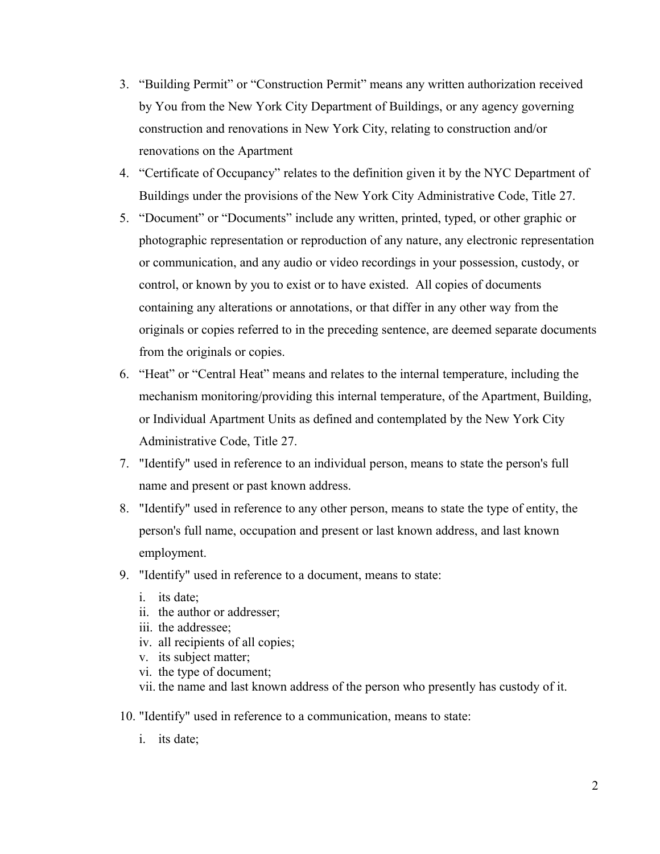- 3. "Building Permit" or "Construction Permit" means any written authorization received by You from the New York City Department of Buildings, or any agency governing construction and renovations in New York City, relating to construction and/or renovations on the Apartment
- 4. "Certificate of Occupancy" relates to the definition given it by the NYC Department of Buildings under the provisions of the New York City Administrative Code, Title 27.
- 5. "Document" or "Documents" include any written, printed, typed, or other graphic or photographic representation or reproduction of any nature, any electronic representation or communication, and any audio or video recordings in your possession, custody, or control, or known by you to exist or to have existed. All copies of documents containing any alterations or annotations, or that differ in any other way from the originals or copies referred to in the preceding sentence, are deemed separate documents from the originals or copies.
- 6. "Heat" or "Central Heat" means and relates to the internal temperature, including the mechanism monitoring/providing this internal temperature, of the Apartment, Building, or Individual Apartment Units as defined and contemplated by the New York City Administrative Code, Title 27.
- 7. "Identify" used in reference to an individual person, means to state the person's full name and present or past known address.
- 8. "Identify" used in reference to any other person, means to state the type of entity, the person's full name, occupation and present or last known address, and last known employment.
- 9. "Identify" used in reference to a document, means to state:
	- i. its date;
	- ii. the author or addresser;
	- iii. the addressee;
	- iv. all recipients of all copies;
	- v. its subject matter;
	- vi. the type of document;
	- vii. the name and last known address of the person who presently has custody of it.
- 10. "Identify" used in reference to a communication, means to state:
	- i. its date;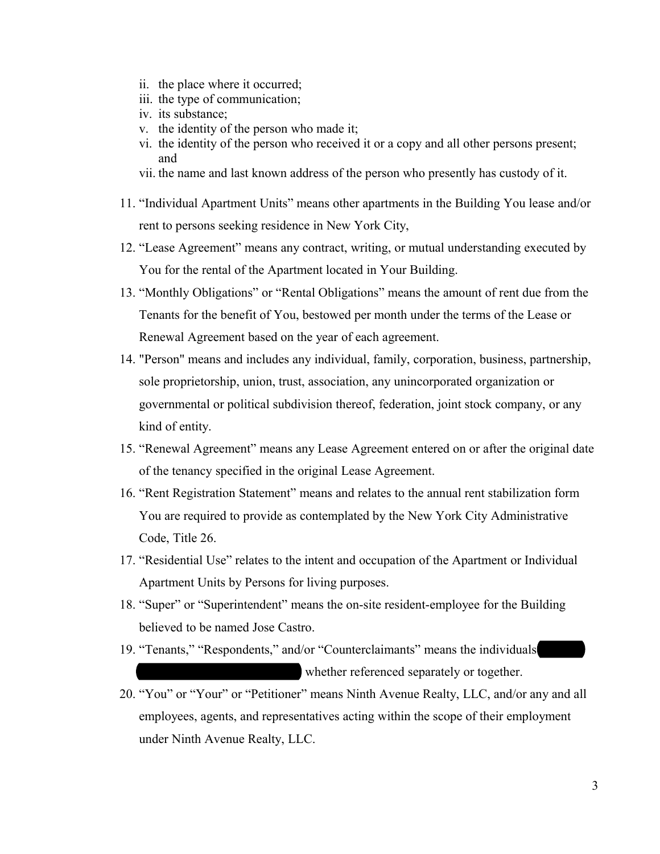- ii. the place where it occurred;
- iii. the type of communication;
- iv. its substance;
- v. the identity of the person who made it;
- vi. the identity of the person who received it or a copy and all other persons present; and
- vii. the name and last known address of the person who presently has custody of it.
- 11. "Individual Apartment Units" means other apartments in the Building You lease and/or rent to persons seeking residence in New York City,
- 12. "Lease Agreement" means any contract, writing, or mutual understanding executed by You for the rental of the Apartment located in Your Building.
- 13. "Monthly Obligations" or "Rental Obligations" means the amount of rent due from the Tenants for the benefit of You, bestowed per month under the terms of the Lease or Renewal Agreement based on the year of each agreement.
- 14. "Person" means and includes any individual, family, corporation, business, partnership, sole proprietorship, union, trust, association, any unincorporated organization or governmental or political subdivision thereof, federation, joint stock company, or any kind of entity.
- 15. "Renewal Agreement" means any Lease Agreement entered on or after the original date of the tenancy specified in the original Lease Agreement.
- 16. "Rent Registration Statement" means and relates to the annual rent stabilization form You are required to provide as contemplated by the New York City Administrative Code, Title 26.
- 17. "Residential Use" relates to the intent and occupation of the Apartment or Individual Apartment Units by Persons for living purposes.
- 18. "Super" or "Superintendent" means the on-site resident-employee for the Building believed to be named Jose Castro.
- 19. "Tenants," "Respondents," and/or "Counterclaimants" means the individuals whether referenced separately or together.
- 20. "You" or "Your" or "Petitioner" means Ninth Avenue Realty, LLC, and/or any and all employees, agents, and representatives acting within the scope of their employment under Ninth Avenue Realty, LLC.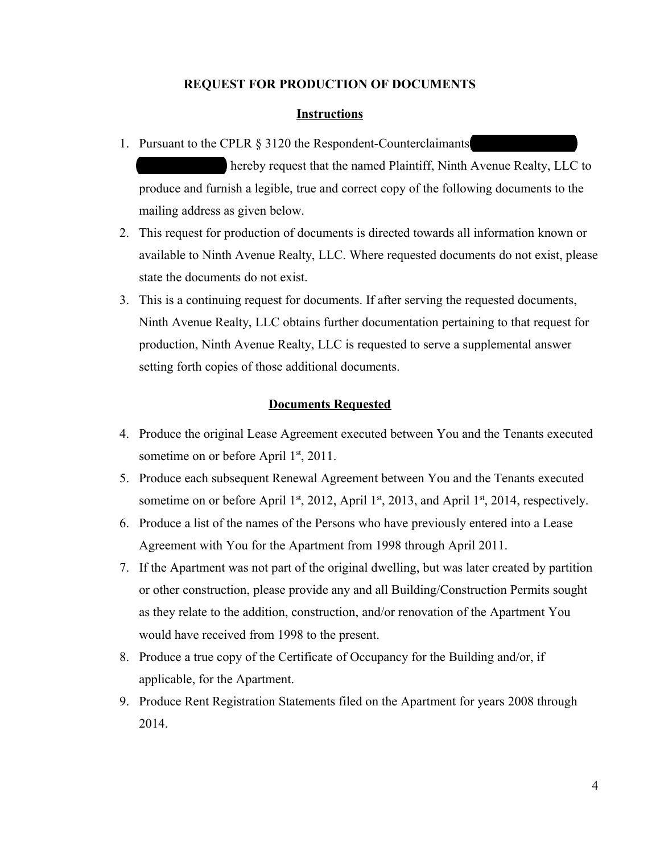## **REQUEST FOR PRODUCTION OF DOCUMENTS**

### **Instructions**

1. Pursuant to the CPLR  $\S$  3120 the Respondent-Counterclaimants

hereby request that the named Plaintiff, Ninth Avenue Realty, LLC to produce and furnish a legible, true and correct copy of the following documents to the mailing address as given below.

- 2. This request for production of documents is directed towards all information known or available to Ninth Avenue Realty, LLC. Where requested documents do not exist, please state the documents do not exist.
- 3. This is a continuing request for documents. If after serving the requested documents, Ninth Avenue Realty, LLC obtains further documentation pertaining to that request for production, Ninth Avenue Realty, LLC is requested to serve a supplemental answer setting forth copies of those additional documents.

## **Documents Requested**

- 4. Produce the original Lease Agreement executed between You and the Tenants executed sometime on or before April 1<sup>st</sup>, 2011.
- 5. Produce each subsequent Renewal Agreement between You and the Tenants executed sometime on or before April 1<sup>st</sup>, 2012, April 1<sup>st</sup>, 2013, and April 1<sup>st</sup>, 2014, respectively.
- 6. Produce a list of the names of the Persons who have previously entered into a Lease Agreement with You for the Apartment from 1998 through April 2011.
- 7. If the Apartment was not part of the original dwelling, but was later created by partition or other construction, please provide any and all Building/Construction Permits sought as they relate to the addition, construction, and/or renovation of the Apartment You would have received from 1998 to the present.
- 8. Produce a true copy of the Certificate of Occupancy for the Building and/or, if applicable, for the Apartment.
- 9. Produce Rent Registration Statements filed on the Apartment for years 2008 through 2014.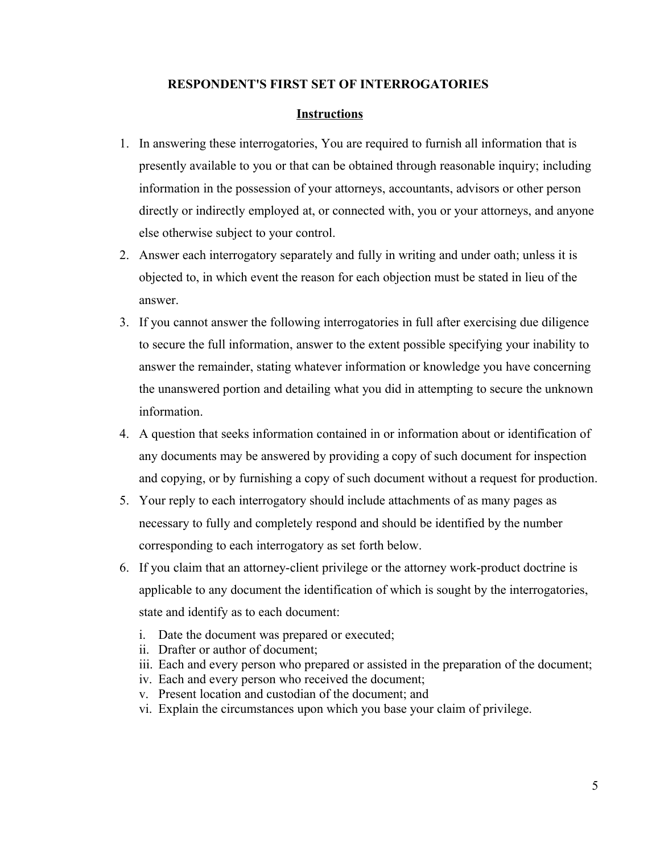## **RESPONDENT'S FIRST SET OF INTERROGATORIES**

### **Instructions**

- 1. In answering these interrogatories, You are required to furnish all information that is presently available to you or that can be obtained through reasonable inquiry; including information in the possession of your attorneys, accountants, advisors or other person directly or indirectly employed at, or connected with, you or your attorneys, and anyone else otherwise subject to your control.
- 2. Answer each interrogatory separately and fully in writing and under oath; unless it is objected to, in which event the reason for each objection must be stated in lieu of the answer.
- 3. If you cannot answer the following interrogatories in full after exercising due diligence to secure the full information, answer to the extent possible specifying your inability to answer the remainder, stating whatever information or knowledge you have concerning the unanswered portion and detailing what you did in attempting to secure the unknown information.
- 4. A question that seeks information contained in or information about or identification of any documents may be answered by providing a copy of such document for inspection and copying, or by furnishing a copy of such document without a request for production.
- 5. Your reply to each interrogatory should include attachments of as many pages as necessary to fully and completely respond and should be identified by the number corresponding to each interrogatory as set forth below.
- 6. If you claim that an attorney-client privilege or the attorney work-product doctrine is applicable to any document the identification of which is sought by the interrogatories, state and identify as to each document:
	- i. Date the document was prepared or executed;
	- ii. Drafter or author of document;
	- iii. Each and every person who prepared or assisted in the preparation of the document;
	- iv. Each and every person who received the document;
	- v. Present location and custodian of the document; and
	- vi. Explain the circumstances upon which you base your claim of privilege.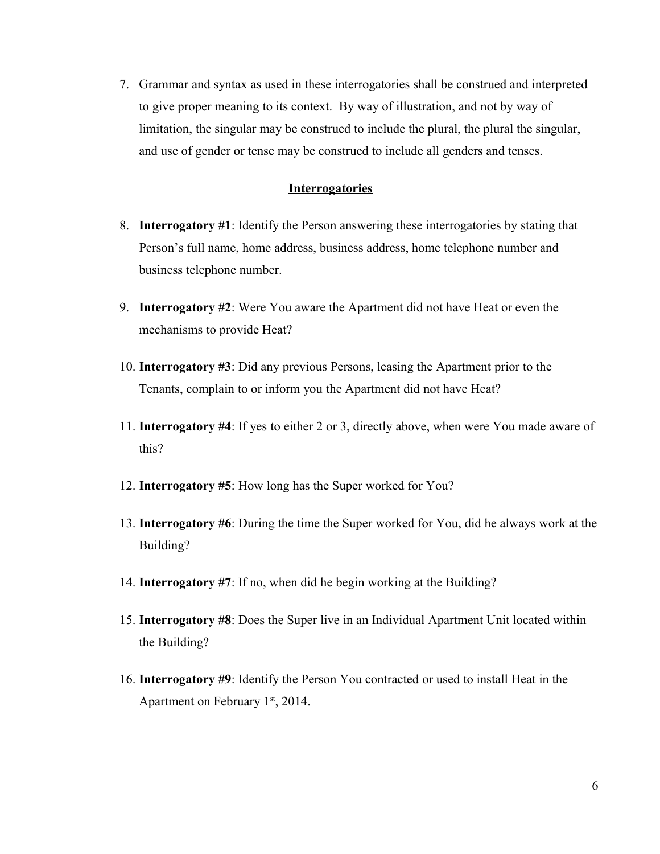7. Grammar and syntax as used in these interrogatories shall be construed and interpreted to give proper meaning to its context. By way of illustration, and not by way of limitation, the singular may be construed to include the plural, the plural the singular, and use of gender or tense may be construed to include all genders and tenses.

## **Interrogatories**

- 8. **Interrogatory #1**: Identify the Person answering these interrogatories by stating that Person's full name, home address, business address, home telephone number and business telephone number.
- 9. **Interrogatory #2**: Were You aware the Apartment did not have Heat or even the mechanisms to provide Heat?
- 10. **Interrogatory #3**: Did any previous Persons, leasing the Apartment prior to the Tenants, complain to or inform you the Apartment did not have Heat?
- 11. **Interrogatory #4**: If yes to either 2 or 3, directly above, when were You made aware of this?
- 12. **Interrogatory #5**: How long has the Super worked for You?
- 13. **Interrogatory #6**: During the time the Super worked for You, did he always work at the Building?
- 14. **Interrogatory #7**: If no, when did he begin working at the Building?
- 15. **Interrogatory #8**: Does the Super live in an Individual Apartment Unit located within the Building?
- 16. **Interrogatory #9**: Identify the Person You contracted or used to install Heat in the Apartment on February  $1<sup>st</sup>$ , 2014.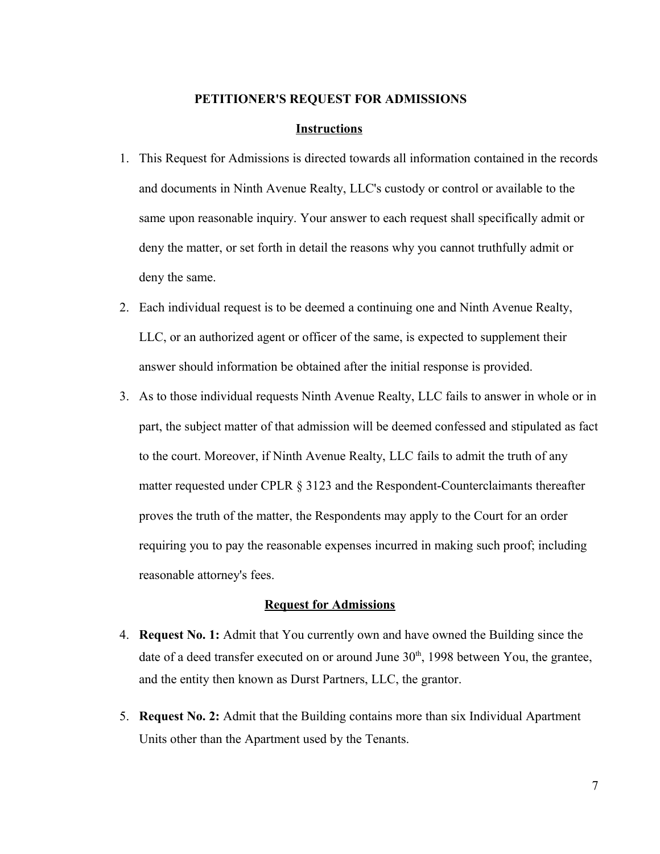#### **PETITIONER'S REQUEST FOR ADMISSIONS**

#### **Instructions**

- 1. This Request for Admissions is directed towards all information contained in the records and documents in Ninth Avenue Realty, LLC's custody or control or available to the same upon reasonable inquiry. Your answer to each request shall specifically admit or deny the matter, or set forth in detail the reasons why you cannot truthfully admit or deny the same.
- 2. Each individual request is to be deemed a continuing one and Ninth Avenue Realty, LLC, or an authorized agent or officer of the same, is expected to supplement their answer should information be obtained after the initial response is provided.
- 3. As to those individual requests Ninth Avenue Realty, LLC fails to answer in whole or in part, the subject matter of that admission will be deemed confessed and stipulated as fact to the court. Moreover, if Ninth Avenue Realty, LLC fails to admit the truth of any matter requested under CPLR § 3123 and the Respondent-Counterclaimants thereafter proves the truth of the matter, the Respondents may apply to the Court for an order requiring you to pay the reasonable expenses incurred in making such proof; including reasonable attorney's fees.

#### **Request for Admissions**

- 4. **Request No. 1:** Admit that You currently own and have owned the Building since the date of a deed transfer executed on or around June  $30<sup>th</sup>$ , 1998 between You, the grantee, and the entity then known as Durst Partners, LLC, the grantor.
- 5. **Request No. 2:** Admit that the Building contains more than six Individual Apartment Units other than the Apartment used by the Tenants.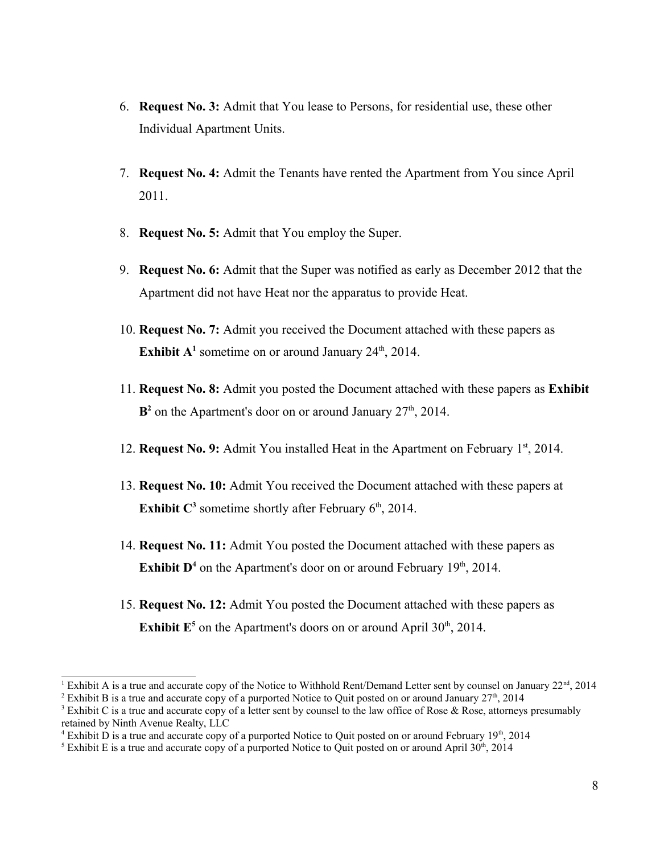- 6. **Request No. 3:** Admit that You lease to Persons, for residential use, these other Individual Apartment Units.
- 7. **Request No. 4:** Admit the Tenants have rented the Apartment from You since April 2011.
- 8. **Request No. 5:** Admit that You employ the Super.
- 9. **Request No. 6:** Admit that the Super was notified as early as December 2012 that the Apartment did not have Heat nor the apparatus to provide Heat.
- 10. **Request No. 7:** Admit you received the Document attached with these papers as **Exhibit**  $A^1$  $A^1$  sometime on or around January  $24^{\text{th}}$ ,  $2014$ .
- 11. **Request No. 8:** Admit you posted the Document attached with these papers as **Exhibit**  $\mathbf{B}^2$  $\mathbf{B}^2$  on the Apartment's door on or around January 27<sup>th</sup>, 2014.
- 12. **Request No. 9:** Admit You installed Heat in the Apartment on February 1<sup>st</sup>, 2014.
- 13. **Request No. 10:** Admit You received the Document attached with these papers at **Exhibit**  $C^3$  $C^3$  sometime shortly after February  $6<sup>th</sup>$ , 2014.
- 14. **Request No. 11:** Admit You posted the Document attached with these papers as **Exhibit**  $D^4$  $D^4$  on the Apartment's door on or around February  $19<sup>th</sup>$ , 2014.
- 15. **Request No. 12:** Admit You posted the Document attached with these papers as **Exhibit**  $E^5$  $E^5$  on the Apartment's doors on or around April 30<sup>th</sup>, 2014.

<span id="page-7-0"></span><sup>&</sup>lt;sup>1</sup> Exhibit A is a true and accurate copy of the Notice to Withhold Rent/Demand Letter sent by counsel on January  $22<sup>nd</sup>$ , 2014

<span id="page-7-1"></span><sup>&</sup>lt;sup>2</sup> Exhibit B is a true and accurate copy of a purported Notice to Quit posted on or around January  $27<sup>th</sup>$ , 2014

<span id="page-7-2"></span><sup>&</sup>lt;sup>3</sup> Exhibit C is a true and accurate copy of a letter sent by counsel to the law office of Rose & Rose, attorneys presumably retained by Ninth Avenue Realty, LLC

<span id="page-7-3"></span><sup>&</sup>lt;sup>4</sup> Exhibit D is a true and accurate copy of a purported Notice to Quit posted on or around February 19<sup>th</sup>, 2014

<span id="page-7-4"></span><sup>&</sup>lt;sup>5</sup> Exhibit E is a true and accurate copy of a purported Notice to Quit posted on or around April 30<sup>th</sup>, 2014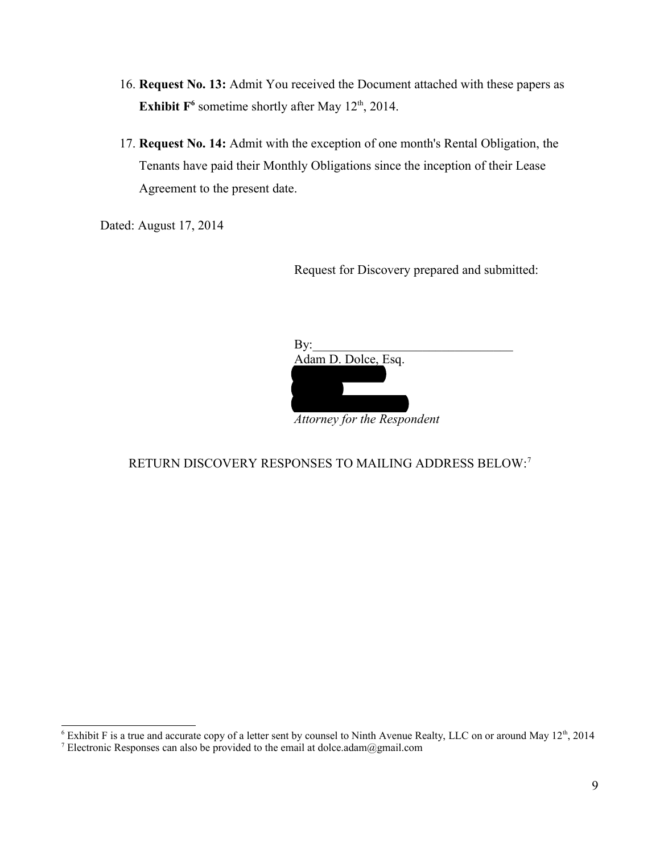- 16. **Request No. 13:** Admit You received the Document attached with these papers as **Exhibit**  $F^6$  $F^6$  sometime shortly after May  $12^{th}$ , 2014.
- 17. **Request No. 14:** Admit with the exception of one month's Rental Obligation, the Tenants have paid their Monthly Obligations since the inception of their Lease Agreement to the present date.

Dated: August 17, 2014

Request for Discovery prepared and submitted:

| $\rm{By:}$                  |  |
|-----------------------------|--|
| Adam D. Dolce, Esq.         |  |
|                             |  |
|                             |  |
| Attorney for the Respondent |  |

# RETURN DISCOVERY RESPONSES TO MAILING ADDRESS BELOW:[7](#page-8-1)

<span id="page-8-0"></span><sup>&</sup>lt;sup>6</sup> Exhibit F is a true and accurate copy of a letter sent by counsel to Ninth Avenue Realty, LLC on or around May  $12<sup>th</sup>$ , 2014

<span id="page-8-1"></span><sup>&</sup>lt;sup>7</sup> Electronic Responses can also be provided to the email at dolce.adam@gmail.com